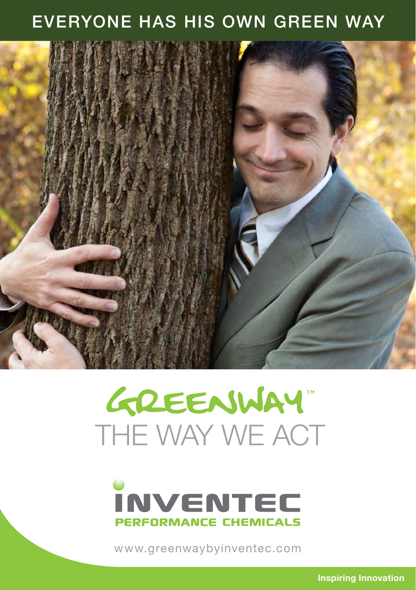### EVERYONE HAS HIS OWN GREEN WAY



# GREENWAY" THE WAY WE ACT



www.greenwaybyinventec.com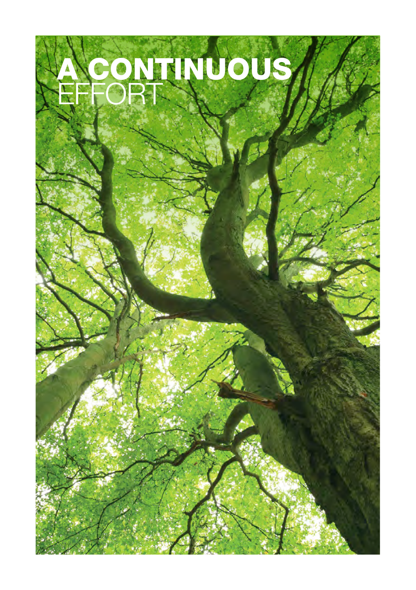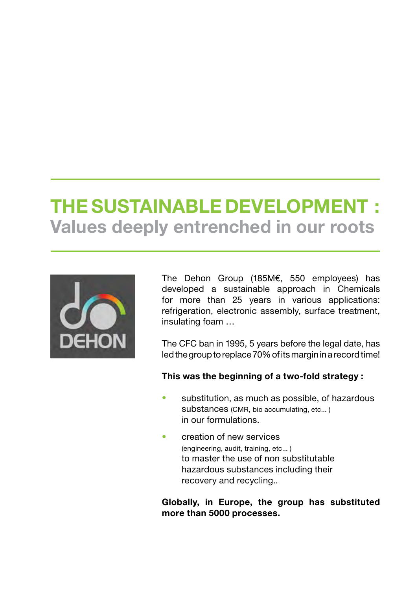### THE SUSTAINABLE DEVELOPMENT : Values deeply entrenched in our roots



The Dehon Group (185M€, 550 employees) has developed a sustainable approach in Chemicals for more than 25 years in various applications: refrigeration, electronic assembly, surface treatment, insulating foam …

The CFC ban in 1995, 5 years before the legal date, has led the group to replace 70% of its margin in a record time!

#### This was the beginning of a two-fold strategy :

- substitution, as much as possible, of hazardous substances (CMR, bio accumulating, etc... ) in our formulations.
- creation of new services (engineering, audit, training, etc... ) to master the use of non substitutable hazardous substances including their recovery and recycling..

Globally, in Europe, the group has substituted more than 5000 processes.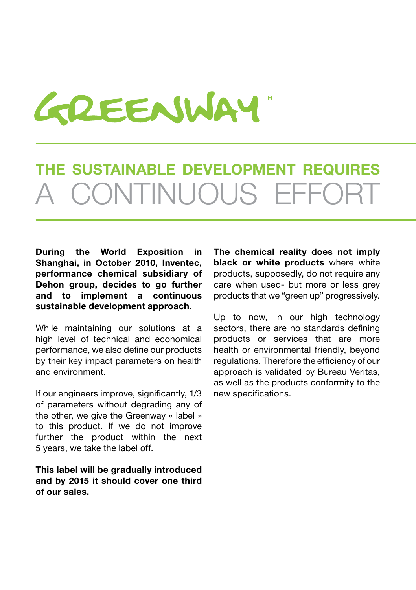

# THE SUSTAINABLE DEVELOPMENT REQUIRES CONTINUOUS EFFOR

During the World Exposition in Shanghai, in October 2010, Inventec, performance chemical subsidiary of Dehon group, decides to go further and to implement a continuous sustainable development approach.

While maintaining our solutions at a high level of technical and economical performance, we also define our products by their key impact parameters on health and environment.

If our engineers improve, significantly, 1/3 of parameters without degrading any of the other, we give the Greenway « label » to this product. If we do not improve further the product within the next 5 years, we take the label off.

This label will be gradually introduced and by 2015 it should cover one third of our sales.

The chemical reality does not imply black or white products where white products, supposedly, do not require any care when used- but more or less grey products that we "green up" progressively.

Up to now, in our high technology sectors, there are no standards defining products or services that are more health or environmental friendly, beyond regulations. Therefore the efficiency of our approach is validated by Bureau Veritas, as well as the products conformity to the new specifications.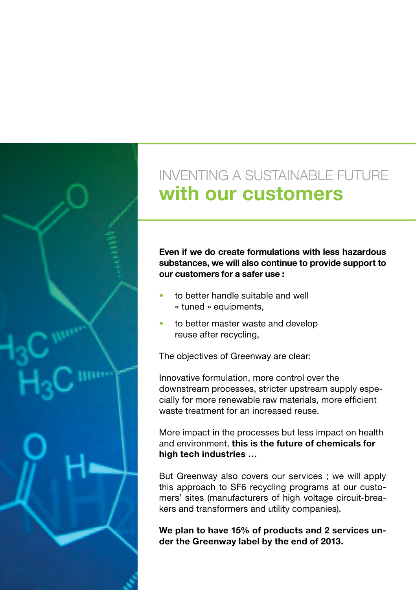

### INVENTING A SUSTAINABLE FUTURE with our customers

Even if we do create formulations with less hazardous substances, we will also continue to provide support to our customers for a safer use :

- to better handle suitable and well « tuned » equipments,
- to better master waste and develop reuse after recycling,

The objectives of Greenway are clear:

Innovative formulation, more control over the downstream processes, stricter upstream supply especially for more renewable raw materials, more efficient waste treatment for an increased reuse.

More impact in the processes but less impact on health and environment, this is the future of chemicals for high tech industries …

But Greenway also covers our services ; we will apply this approach to SF6 recycling programs at our customers' sites (manufacturers of high voltage circuit-breakers and transformers and utility companies).

We plan to have 15% of products and 2 services under the Greenway label by the end of 2013.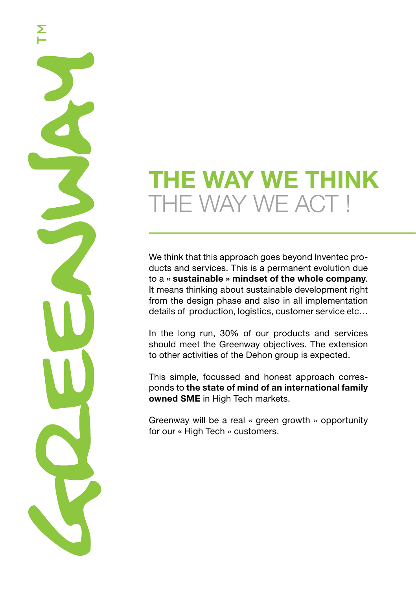# THE WAY WE THINK THE WAY WE ACT !

Σ

We think that this approach goes beyond Inventec products and services. This is a permanent evolution due to a « sustainable » mindset of the whole company. It means thinking about sustainable development right from the design phase and also in all implementation details of production, logistics, customer service etc…

In the long run, 30% of our products and services should meet the Greenway objectives. The extension to other activities of the Dehon group is expected.

This simple, focussed and honest approach corresponds to the state of mind of an international family owned SME in High Tech markets.

Greenway will be a real « green growth » opportunity for our « High Tech » customers.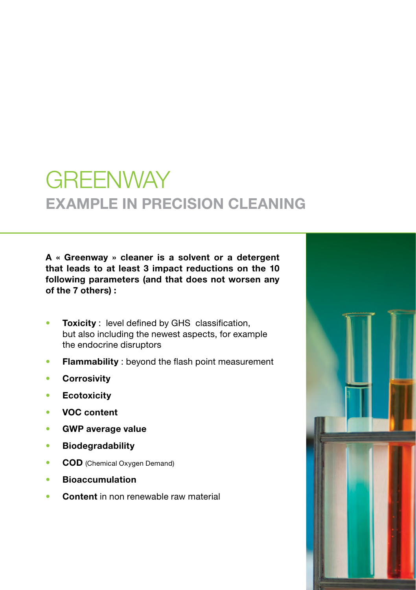## **GREENWAY EXAMPLE IN PRECISION CLEANING**

A « Greenway » cleaner is a solvent or a detergent that leads to at least 3 impact reductions on the 10 following parameters (and that does not worsen any of the 7 others) :

- **Toxicity**: level defined by GHS classification, but also including the newest aspects, for example the endocrine disruptors
- Flammability : beyond the flash point measurement
- **•** Corrosivity
- **Ecotoxicity**
- VOC content
- GWP average value
- • Biodegradability
- COD (Chemical Oxygen Demand)
- **Bioaccumulation**
- Content in non renewable raw material

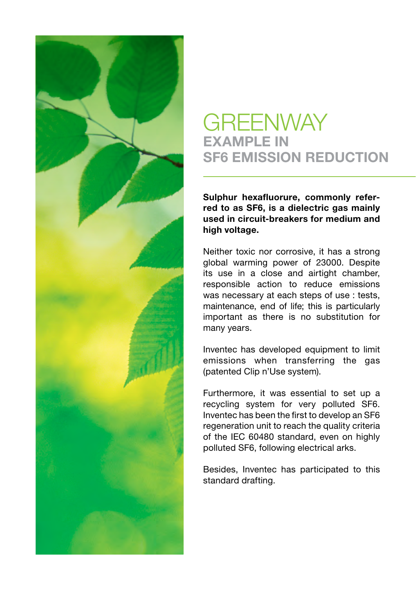

### **GREENWAY EXAMPLE IN** SF6 EMISSION REDUCTION

Sulphur hexafluorure, commonly referred to as SF6, is a dielectric gas mainly used in circuit-breakers for medium and high voltage.

Neither toxic nor corrosive, it has a strong global warming power of 23000. Despite its use in a close and airtight chamber, responsible action to reduce emissions was necessary at each steps of use : tests, maintenance, end of life; this is particularly important as there is no substitution for many years.

Inventec has developed equipment to limit emissions when transferring the gas (patented Clip n'Use system).

Furthermore, it was essential to set up a recycling system for very polluted SF6. Inventec has been the first to develop an SF6 regeneration unit to reach the quality criteria of the IEC 60480 standard, even on highly polluted SF6, following electrical arks.

Besides, Inventec has participated to this standard drafting.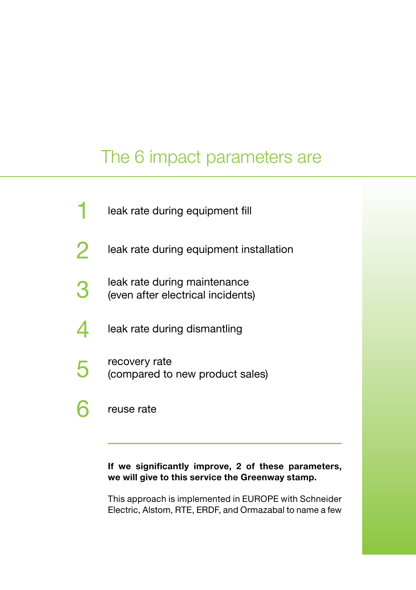### The 6 impact parameters are

|                | leak rate during equipment fill                                   |
|----------------|-------------------------------------------------------------------|
|                | leak rate during equipment installation                           |
|                | leak rate during maintenance<br>(even after electrical incidents) |
|                | leak rate during dismantling                                      |
| $\overline{5}$ | recovery rate<br>(compared to new product sales)                  |
|                | reuse rate                                                        |

#### If we significantly improve, 2 of these parameters, we will give to this service the Greenway stamp.

This approach is implemented in EUROPE with Schneider Electric, Alstom, RTE, ERDF, and Ormazabal to name a few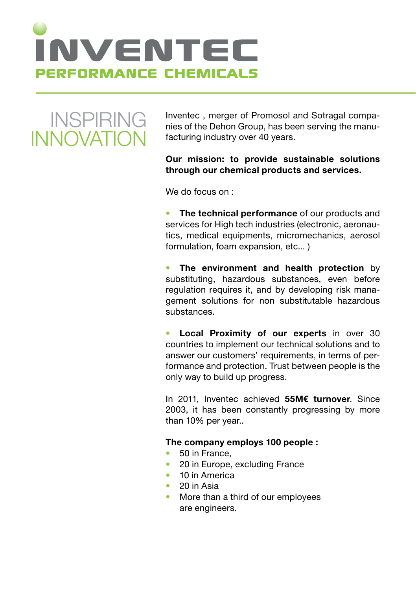

INSPIRING INNOVATION

Inventec , merger of Promosol and Sotragal companies of the Dehon Group, has been serving the manufacturing industry over 40 years.

#### Our mission: to provide sustainable solutions through our chemical products and services.

We do focus on :

The technical performance of our products and services for High tech industries (electronic, aeronautics, medical equipments, micromechanics, aerosol formulation, foam expansion, etc... )

The environment and health protection by substituting, hazardous substances, even before regulation requires it, and by developing risk management solutions for non substitutable hazardous substances.

**Local Proximity of our experts in over 30** countries to implement our technical solutions and to answer our customers' requirements, in terms of performance and protection. Trust between people is the only way to build up progress.

In 2011, Inventec achieved 55M€ turnover. Since 2003, it has been constantly progressing by more than 10% per year..

#### The company employs 100 people :

- 50 in France.
- 20 in Europe, excluding France
- 10 in America
- • 20 in Asia
- More than a third of our employees are engineers.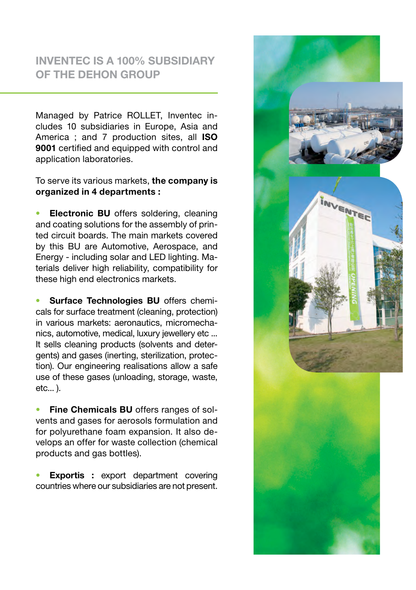### INVENTEC IS A 100% SUBSIDIARY OF THE DEHON GROUP

Managed by Patrice ROLLET, Inventec includes 10 subsidiaries in Europe, Asia and America ; and 7 production sites, all ISO 9001 certified and equipped with control and application laboratories.

#### To serve its various markets, the company is organized in 4 departments :

**Electronic BU** offers soldering, cleaning and coating solutions for the assembly of printed circuit boards. The main markets covered by this BU are Automotive, Aerospace, and Energy - including solar and LED lighting. Materials deliver high reliability, compatibility for these high end electronics markets.

Surface Technologies BU offers chemicals for surface treatment (cleaning, protection) in various markets: aeronautics, micromechanics, automotive, medical, luxury jewellery etc ... It sells cleaning products (solvents and detergents) and gases (inerting, sterilization, protection). Our engineering realisations allow a safe use of these gases (unloading, storage, waste,  $etc...$ ).

Fine Chemicals BU offers ranges of solvents and gases for aerosols formulation and for polyurethane foam expansion. It also develops an offer for waste collection (chemical products and gas bottles).

**Exportis :** export department covering countries where our subsidiaries are not present.